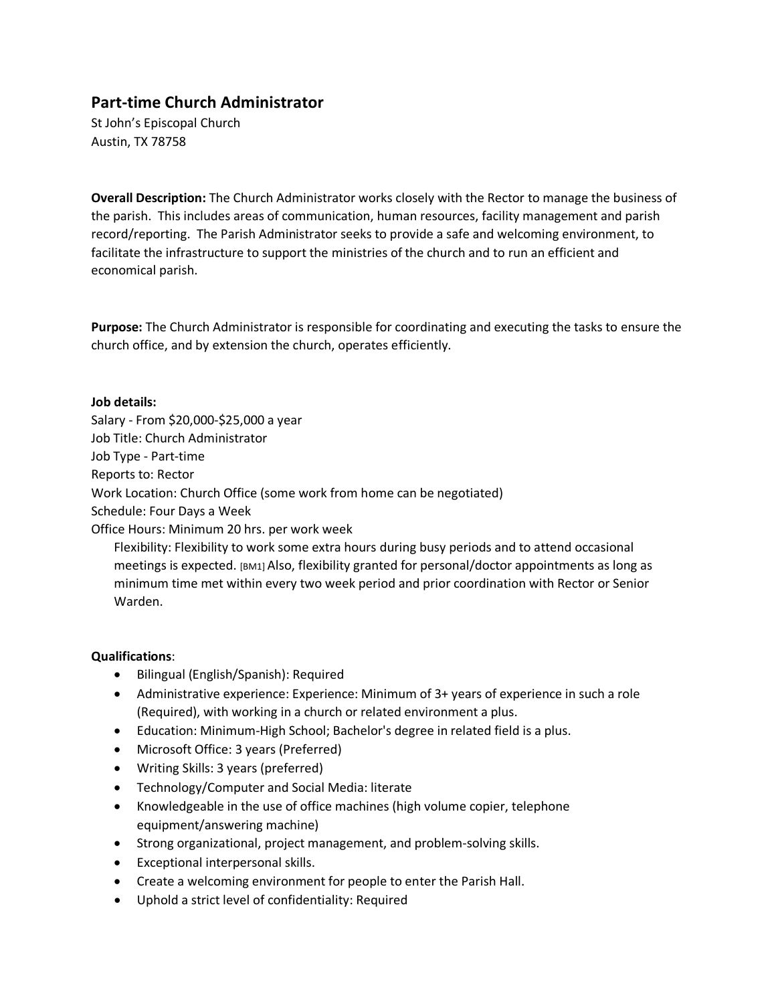# **Part-time Church Administrator**

St John's Episcopal Church Austin, TX 78758

**Overall Description:** The Church Administrator works closely with the Rector to manage the business of the parish. This includes areas of communication, human resources, facility management and parish record/reporting. The Parish Administrator seeks to provide a safe and welcoming environment, to facilitate the infrastructure to support the ministries of the church and to run an efficient and economical parish.

**Purpose:** The Church Administrator is responsible for coordinating and executing the tasks to ensure the church office, and by extension the church, operates efficiently.

# **Job details:**

Salary - From \$20,000-\$25,000 a year Job Title: Church Administrator Job Type - Part-time Reports to: Rector Work Location: Church Office (some work from home can be negotiated) Schedule: Four Days a Week Office Hours: Minimum 20 hrs. per work week

Flexibility: Flexibility to work some extra hours during busy periods and to attend occasional meetings is expected. [BM1] Also, flexibility granted for personal/doctor appointments as long as minimum time met within every two week period and prior coordination with Rector or Senior Warden.

# **Qualifications**:

- Bilingual (English/Spanish): Required
- Administrative experience: Experience: Minimum of 3+ years of experience in such a role (Required), with working in a church or related environment a plus.
- Education: Minimum-High School; Bachelor's degree in related field is a plus.
- Microsoft Office: 3 years (Preferred)
- Writing Skills: 3 years (preferred)
- Technology/Computer and Social Media: literate
- Knowledgeable in the use of office machines (high volume copier, telephone equipment/answering machine)
- Strong organizational, project management, and problem-solving skills.
- Exceptional interpersonal skills.
- Create a welcoming environment for people to enter the Parish Hall.
- Uphold a strict level of confidentiality: Required